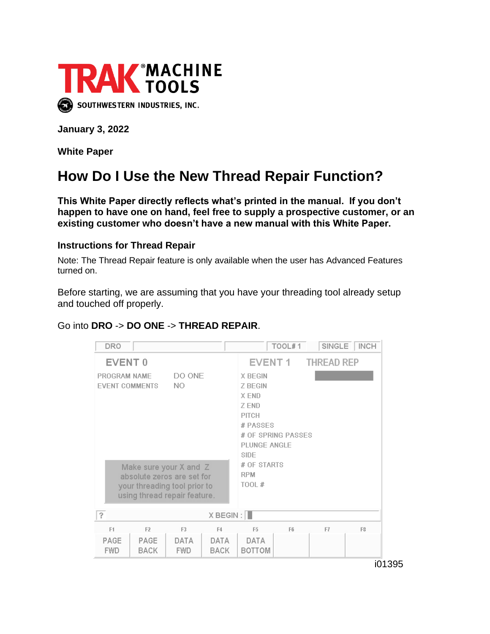

**January 3, 2022**

**White Paper**

## **How Do I Use the New Thread Repair Function?**

**This White Paper directly reflects what's printed in the manual. If you don't happen to have one on hand, feel free to supply a prospective customer, or an existing customer who doesn't have a new manual with this White Paper.**

## **Instructions for Thread Repair**

Note: The Thread Repair feature is only available when the user has Advanced Features turned on.

Before starting, we are assuming that you have your threading tool already setup and touched off properly.

| <b>DRO</b>                                                                                                                                                                     |                |                    |                                    |                                                                                                                                                | TOOL#1         | SINGLE | <b>INCH</b>    |
|--------------------------------------------------------------------------------------------------------------------------------------------------------------------------------|----------------|--------------------|------------------------------------|------------------------------------------------------------------------------------------------------------------------------------------------|----------------|--------|----------------|
| EVENT <sub>0</sub>                                                                                                                                                             |                |                    | <b>EVENT1</b><br><b>THREAD REP</b> |                                                                                                                                                |                |        |                |
| DO ONE<br>PROGRAM NAME<br>NO.<br><b>EVENT COMMENTS</b><br>Make sure your X and Z<br>absolute zeros are set for<br>your threading tool prior to<br>using thread repair feature. |                |                    |                                    | X BEGIN<br>Z BEGIN<br>X END<br>Z END<br>PITCH<br># PASSES<br># OF SPRING PASSES<br>PLUNGE ANGLE<br>SIDE<br># OF STARTS<br><b>RPM</b><br>TOOL # |                |        |                |
| $X$ BEGIN :<br>$\gamma$                                                                                                                                                        |                |                    |                                    |                                                                                                                                                |                |        |                |
| F1                                                                                                                                                                             | F <sub>2</sub> | F <sub>3</sub>     | F4                                 | F <sub>5</sub>                                                                                                                                 | F <sub>6</sub> | F7     | F <sub>8</sub> |
| PAGE<br><b>FWD</b>                                                                                                                                                             | PAGE<br>BACK   | DATA<br><b>FWD</b> | DATA<br>BACK                       | DATA<br><b>BOTTOM</b>                                                                                                                          |                |        |                |
|                                                                                                                                                                                |                |                    |                                    |                                                                                                                                                |                |        | $\sim$         |

## Go into **DRO** -> **DO ONE** -> **THREAD REPAIR**.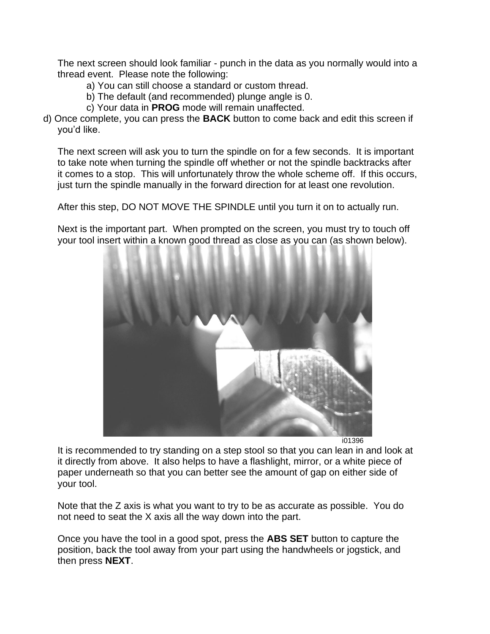The next screen should look familiar - punch in the data as you normally would into a thread event. Please note the following:

- a) You can still choose a standard or custom thread.
- b) The default (and recommended) plunge angle is 0.
- c) Your data in **PROG** mode will remain unaffected.
- d) Once complete, you can press the **BACK** button to come back and edit this screen if you'd like.

The next screen will ask you to turn the spindle on for a few seconds. It is important to take note when turning the spindle off whether or not the spindle backtracks after it comes to a stop. This will unfortunately throw the whole scheme off. If this occurs, just turn the spindle manually in the forward direction for at least one revolution.

After this step, DO NOT MOVE THE SPINDLE until you turn it on to actually run.

Next is the important part. When prompted on the screen, you must try to touch off your tool insert within a known good thread as close as you can (as shown below).



i01396

It is recommended to try standing on a step stool so that you can lean in and look at it directly from above. It also helps to have a flashlight, mirror, or a white piece of paper underneath so that you can better see the amount of gap on either side of your tool.

Note that the Z axis is what you want to try to be as accurate as possible. You do not need to seat the X axis all the way down into the part.

Once you have the tool in a good spot, press the **ABS SET** button to capture the position, back the tool away from your part using the handwheels or jogstick, and then press **NEXT**.